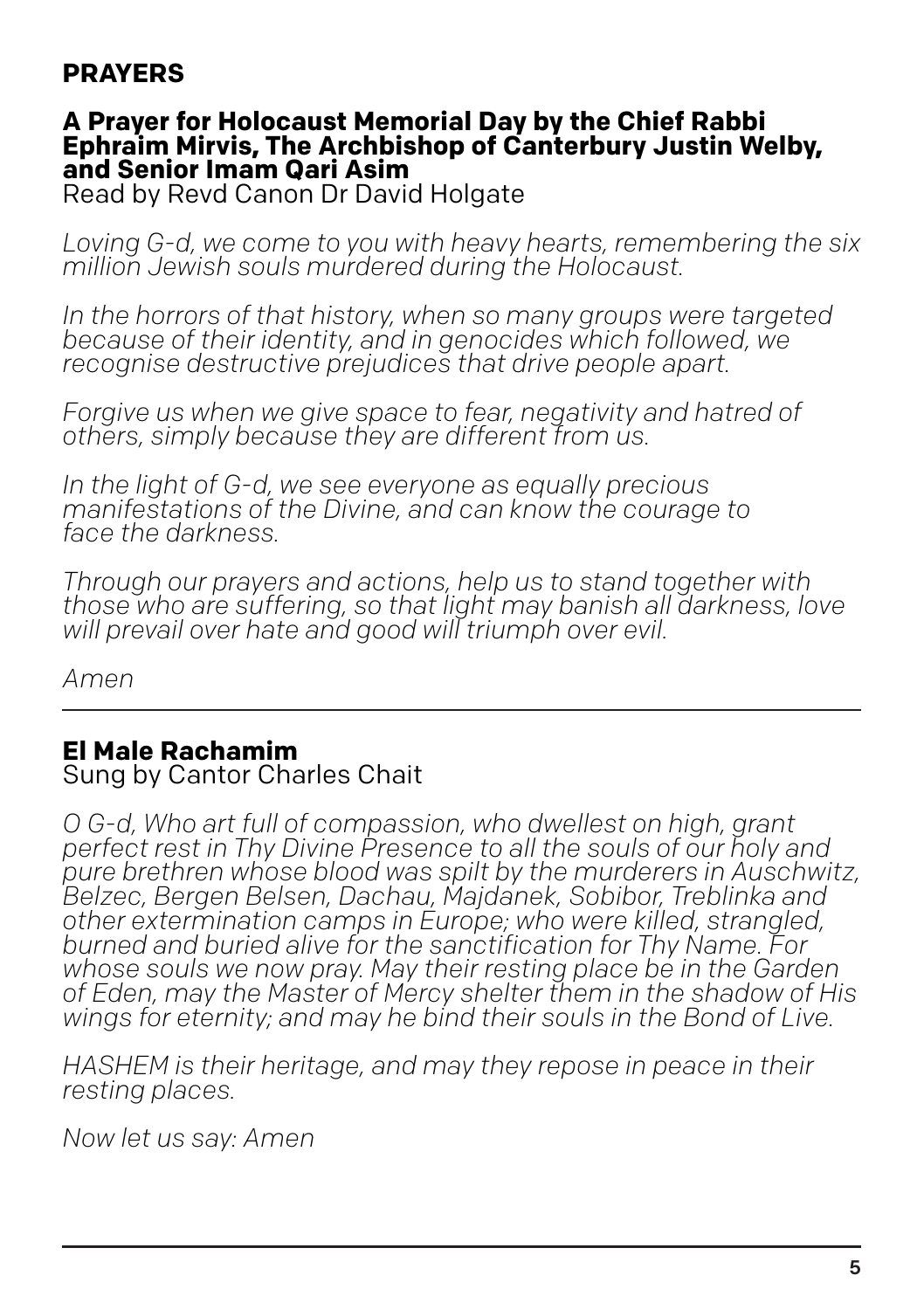## **PRAYERS**

#### **A Prayer for Holocaust Memorial Day by the Chief Rabbi Ephraim Mirvis, The Archbishop of Canterbury Justin Welby, and Senior Imam Qari Asim**

Read by Revd Canon Dr David Holgate

*Loving G-d, we come to you with heavy hearts, remembering the six million Jewish souls murdered during the Holocaust.*

*In the horrors of that history, when so many groups were targeted because of their identity, and in genocides which followed, we recognise destructive prejudices that drive people apart.*

*Forgive us when we give space to fear, negativity and hatred of others, simply because they are different from us.*

*In the light of G-d, we see everyone as equally precious manifestations of the Divine, and can know the courage to face the darkness.*

*Through our prayers and actions, help us to stand together with those who are suffering, so that light may banish all darkness, love will prevail over hate and good will triumph over evil.*

*Amen*

## **El Male Rachamim**

#### Sung by Cantor Charles Chait

*O G-d, Who art full of compassion, who dwellest on high, grant perfect rest in Thy Divine Presence to all the souls of our holy and pure brethren whose blood was spilt by the murderers in Auschwitz, Belzec, Bergen Belsen, Dachau, Majdanek, Sobibor, Treblinka and other extermination camps in Europe; who were killed, strangled, burned and buried alive for the sanctification for Thy Name. For whose souls we now pray. May their resting place be in the Garden of Eden, may the Master of Mercy shelter them in the shadow of His wings for eternity; and may he bind their souls in the Bond of Live.*

*HASHEM is their heritage, and may they repose in peace in their resting places.*

*Now let us say: Amen*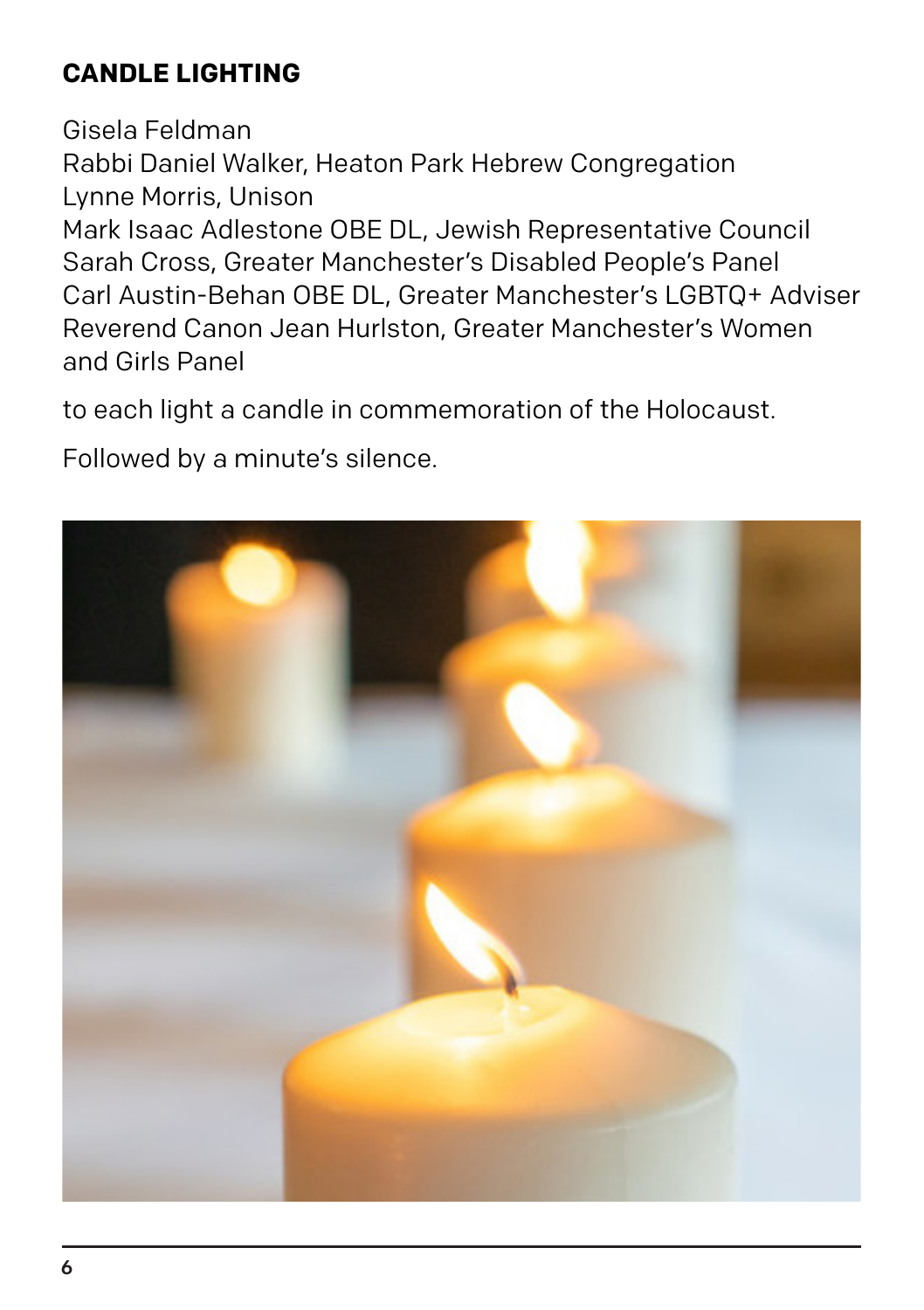# **CANDLE LIGHTING**

Gisela Feldman Rabbi Daniel Walker, Heaton Park Hebrew Congregation Lynne Morris, Unison Mark Isaac Adlestone OBE DL, Jewish Representative Council Sarah Cross, Greater Manchester's Disabled People's Panel Carl Austin-Behan OBE DL, Greater Manchester's LGBTQ+ Adviser Reverend Canon Jean Hurlston, Greater Manchester's Women and Girls Panel

to each light a candle in commemoration of the Holocaust.

Followed by a minute's silence.

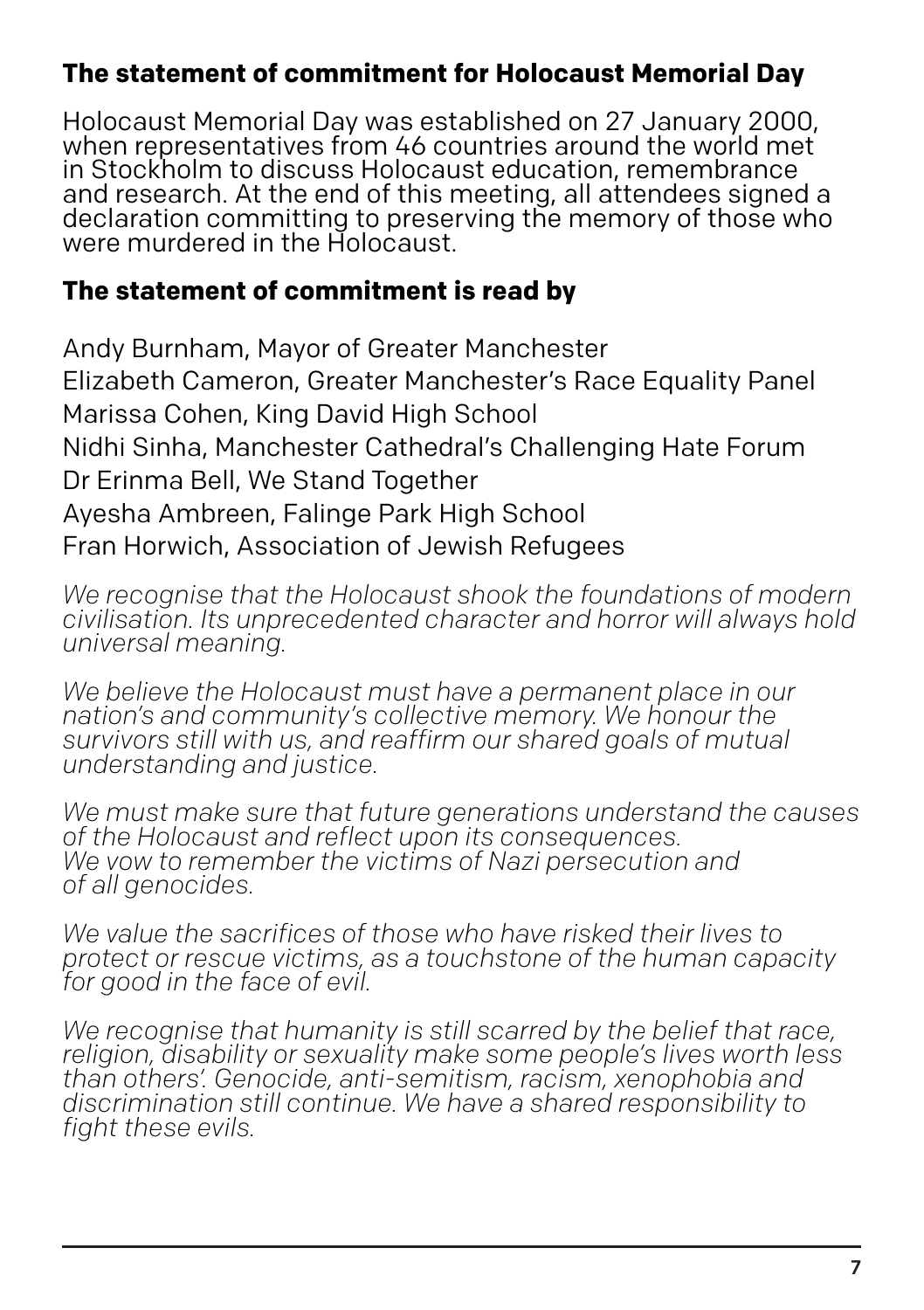## **The statement of commitment for Holocaust Memorial Day**

Holocaust Memorial Day was established on 27 January 2000, when representatives from 46 countries around the world met in Stockholm to discuss Holocaust education, remembrance and research. At the end of this meeting, all attendees signed a declaration committing to preserving the memory of those who were murdered in the Holocaust.

## **The statement of commitment is read by**

Andy Burnham, Mayor of Greater Manchester Elizabeth Cameron, Greater Manchester's Race Equality Panel Marissa Cohen, King David High School Nidhi Sinha, Manchester Cathedral's Challenging Hate Forum Dr Erinma Bell, We Stand Together Ayesha Ambreen, Falinge Park High School Fran Horwich, Association of Jewish Refugees

*We recognise that the Holocaust shook the foundations of modern civilisation. Its unprecedented character and horror will always hold universal meaning.*

*We believe the Holocaust must have a permanent place in our nation's and community's collective memory. We honour the survivors still with us, and reaffirm our shared goals of mutual understanding and justice.*

*We must make sure that future generations understand the causes of the Holocaust and reflect upon its consequences. We vow to remember the victims of Nazi persecution and of all genocides.*

*We value the sacrifices of those who have risked their lives to protect or rescue victims, as a touchstone of the human capacity for good in the face of evil.*

*We recognise that humanity is still scarred by the belief that race, religion, disability or sexuality make some people's lives worth less than others'. Genocide, anti-semitism, racism, xenophobia and discrimination still continue. We have a shared responsibility to fight these evils.*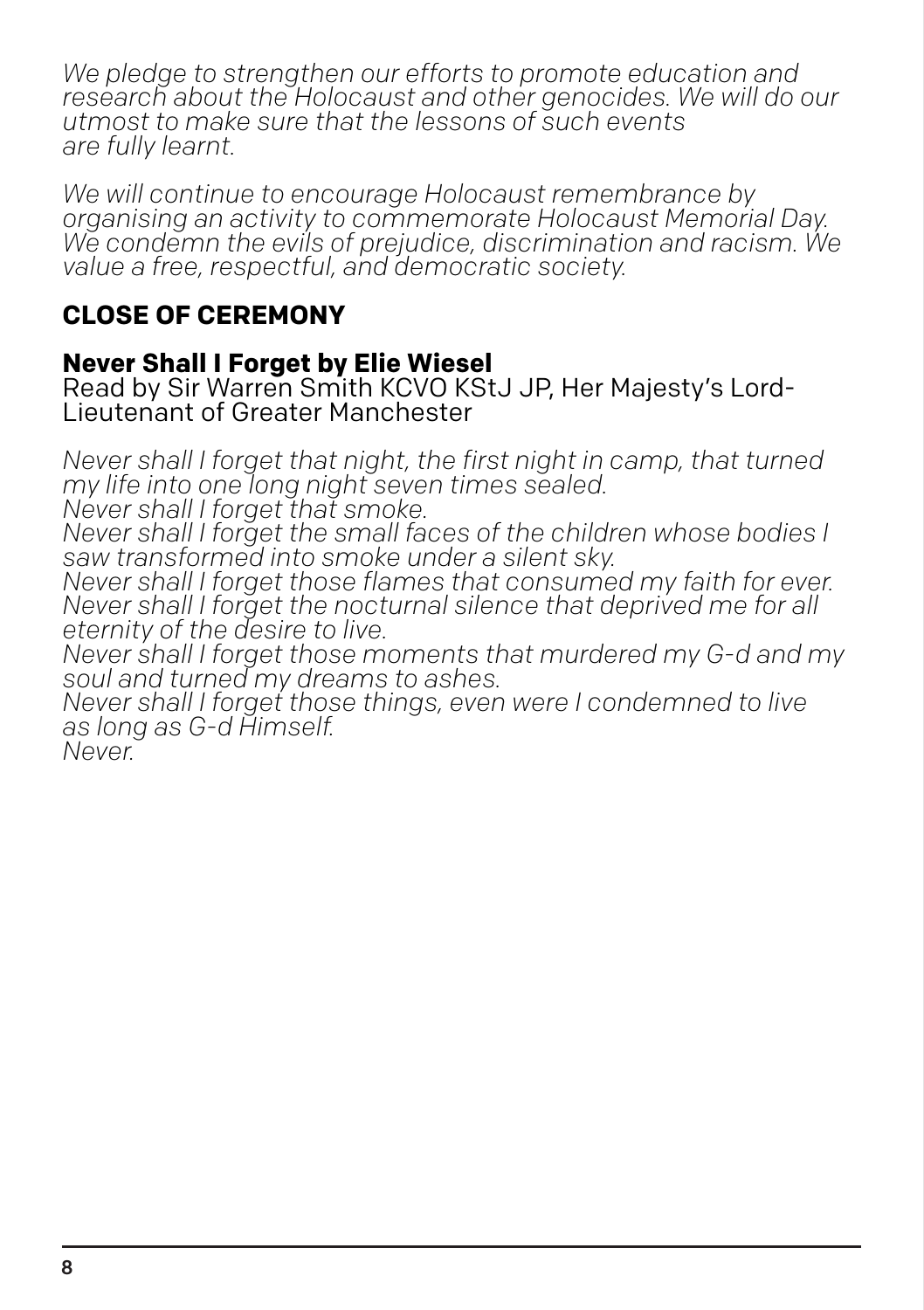*We pledge to strengthen our efforts to promote education and research about the Holocaust and other genocides. We will do our utmost to make sure that the lessons of such events are fully learnt.*

*We will continue to encourage Holocaust remembrance by organising an activity to commemorate Holocaust Memorial Day. We condemn the evils of prejudice, discrimination and racism. We value a free, respectful, and democratic society.*

## **CLOSE OF CEREMONY**

#### **Never Shall I Forget by Elie Wiesel**

Read by Sir Warren Smith KCVO KStJ JP, Her Majesty's Lord-Lieutenant of Greater Manchester

*Never shall I forget that night, the first night in camp, that turned my life into one long night seven times sealed.*

*Never shall I forget that smoke.*

*Never shall I forget the small faces of the children whose bodies I saw transformed into smoke under a silent sky.*

*Never shall I forget those flames that consumed my faith for ever. Never shall I forget the nocturnal silence that deprived me for all eternity of the desire to live.*

*Never shall I forget those moments that murdered my G-d and my soul and turned my dreams to ashes.*

*Never shall I forget those things, even were I condemned to live as long as G-d Himself.*

*Never.*